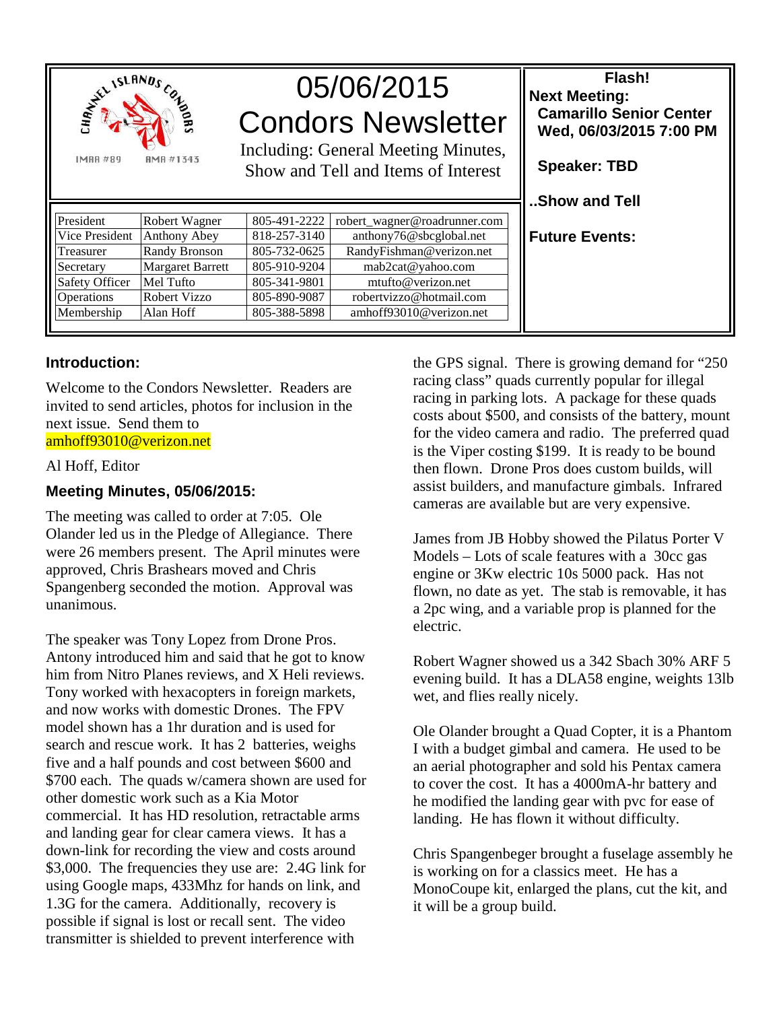

# 05/06/2015 Condors Newsletter

Including: General Meeting Minutes, Show and Tell and Items of Interest

| President      | Robert Wagner           | 805-491-2222 | robert_wagner@roadrunner.com |
|----------------|-------------------------|--------------|------------------------------|
| Vice President | <b>Anthony Abey</b>     | 818-257-3140 | anthony76@sbcglobal.net      |
| Treasurer      | Randy Bronson           | 805-732-0625 | RandyFishman@verizon.net     |
| Secretary      | <b>Margaret Barrett</b> | 805-910-9204 | mab2cat@yahoo.com            |
| Safety Officer | Mel Tufto               | 805-341-9801 | mtufto@verizon.net           |
| Operations     | Robert Vizzo            | 805-890-9087 | robertvizzo@hotmail.com      |
| $M$ embership  | Alan Hoff               | 805-388-5898 | amhoff93010@verizon.net      |

#### **Introduction:**

Welcome to the Condors Newsletter. Readers are invited to send articles, photos for inclusion in the next issue. Send them to amhoff93010@verizon.net

#### Al Hoff, Editor

#### **Meeting Minutes, 05/06/2015:**

The meeting was called to order at 7:05. Ole Olander led us in the Pledge of Allegiance. There were 26 members present. The April minutes were approved, Chris Brashears moved and Chris Spangenberg seconded the motion. Approval was unanimous.

The speaker was Tony Lopez from Drone Pros. Antony introduced him and said that he got to know him from Nitro Planes reviews, and X Heli reviews. Tony worked with hexacopters in foreign markets, and now works with domestic Drones. The FPV model shown has a 1hr duration and is used for search and rescue work. It has 2 batteries, weighs five and a half pounds and cost between \$600 and \$700 each. The quads w/camera shown are used for other domestic work such as a Kia Motor commercial. It has HD resolution, retractable arms and landing gear for clear camera views. It has a down-link for recording the view and costs around \$3,000. The frequencies they use are: 2.4G link for using Google maps, 433Mhz for hands on link, and 1.3G for the camera. Additionally, recovery is possible if signal is lost or recall sent. The video transmitter is shielded to prevent interference with

the GPS signal. There is growing demand for "250 racing class" quads currently popular for illegal racing in parking lots. A package for these quads costs about \$500, and consists of the battery, mount for the video camera and radio. The preferred quad is the Viper costing \$199. It is ready to be bound then flown. Drone Pros does custom builds, will assist builders, and manufacture gimbals. Infrared cameras are available but are very expensive.

**Flash!** 

 **Camarillo Senior Center Wed, 06/03/2015 7:00 PM** 

**Next Meeting:** 

 **Speaker: TBD** 

**..Show and Tell** 

**Future Events:** 

James from JB Hobby showed the Pilatus Porter V Models – Lots of scale features with a 30cc gas engine or 3Kw electric 10s 5000 pack. Has not flown, no date as yet. The stab is removable, it has a 2pc wing, and a variable prop is planned for the electric.

Robert Wagner showed us a 342 Sbach 30% ARF 5 evening build. It has a DLA58 engine, weights 13lb wet, and flies really nicely.

Ole Olander brought a Quad Copter, it is a Phantom I with a budget gimbal and camera. He used to be an aerial photographer and sold his Pentax camera to cover the cost. It has a 4000mA-hr battery and he modified the landing gear with pvc for ease of landing. He has flown it without difficulty.

Chris Spangenbeger brought a fuselage assembly he is working on for a classics meet. He has a MonoCoupe kit, enlarged the plans, cut the kit, and it will be a group build.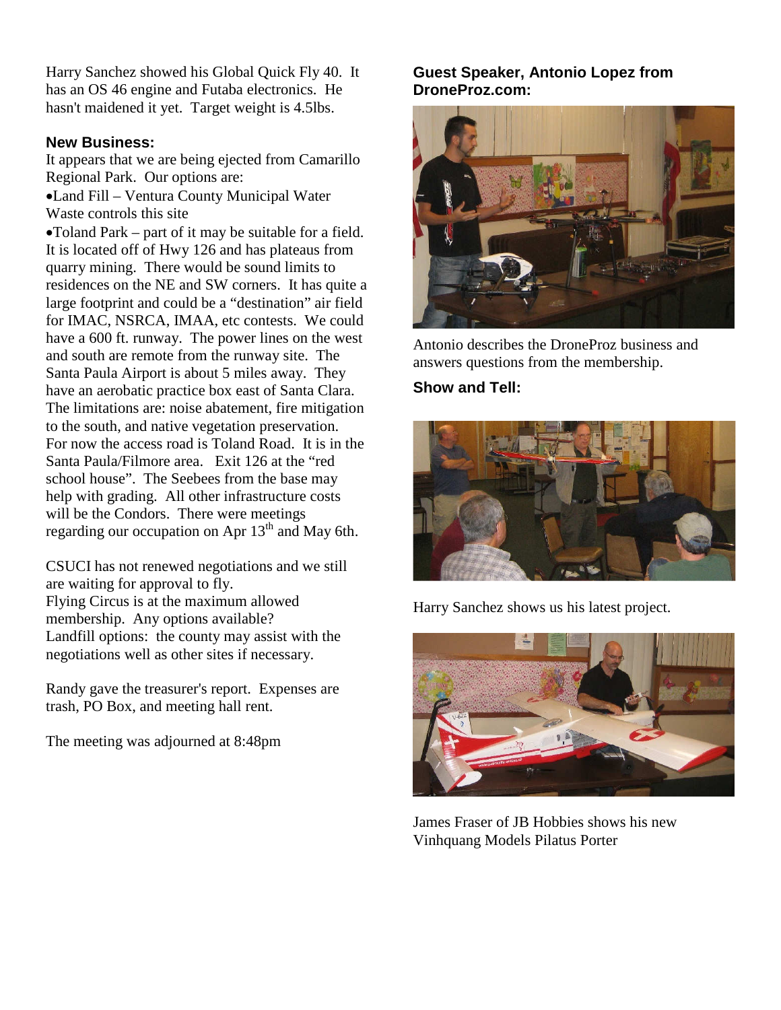Harry Sanchez showed his Global Quick Fly 40. It has an OS 46 engine and Futaba electronics. He hasn't maidened it yet. Target weight is 4.5lbs.

#### **New Business:**

It appears that we are being ejected from Camarillo Regional Park. Our options are: •Land Fill – Ventura County Municipal Water Waste controls this site •Toland Park – part of it may be suitable for a field. It is located off of Hwy 126 and has plateaus from quarry mining. There would be sound limits to residences on the NE and SW corners. It has quite a large footprint and could be a "destination" air field for IMAC, NSRCA, IMAA, etc contests. We could have a 600 ft. runway. The power lines on the west and south are remote from the runway site. The Santa Paula Airport is about 5 miles away. They have an aerobatic practice box east of Santa Clara. The limitations are: noise abatement, fire mitigation to the south, and native vegetation preservation. For now the access road is Toland Road. It is in the Santa Paula/Filmore area. Exit 126 at the "red school house". The Seebees from the base may help with grading. All other infrastructure costs will be the Condors. There were meetings regarding our occupation on Apr  $13<sup>th</sup>$  and May 6th.

CSUCI has not renewed negotiations and we still are waiting for approval to fly. Flying Circus is at the maximum allowed membership. Any options available? Landfill options: the county may assist with the negotiations well as other sites if necessary.

Randy gave the treasurer's report. Expenses are trash, PO Box, and meeting hall rent.

The meeting was adjourned at 8:48pm

## **Guest Speaker, Antonio Lopez from DroneProz.com:**



Antonio describes the DroneProz business and answers questions from the membership.

# **Show and Tell:**



Harry Sanchez shows us his latest project.



James Fraser of JB Hobbies shows his new Vinhquang Models Pilatus Porter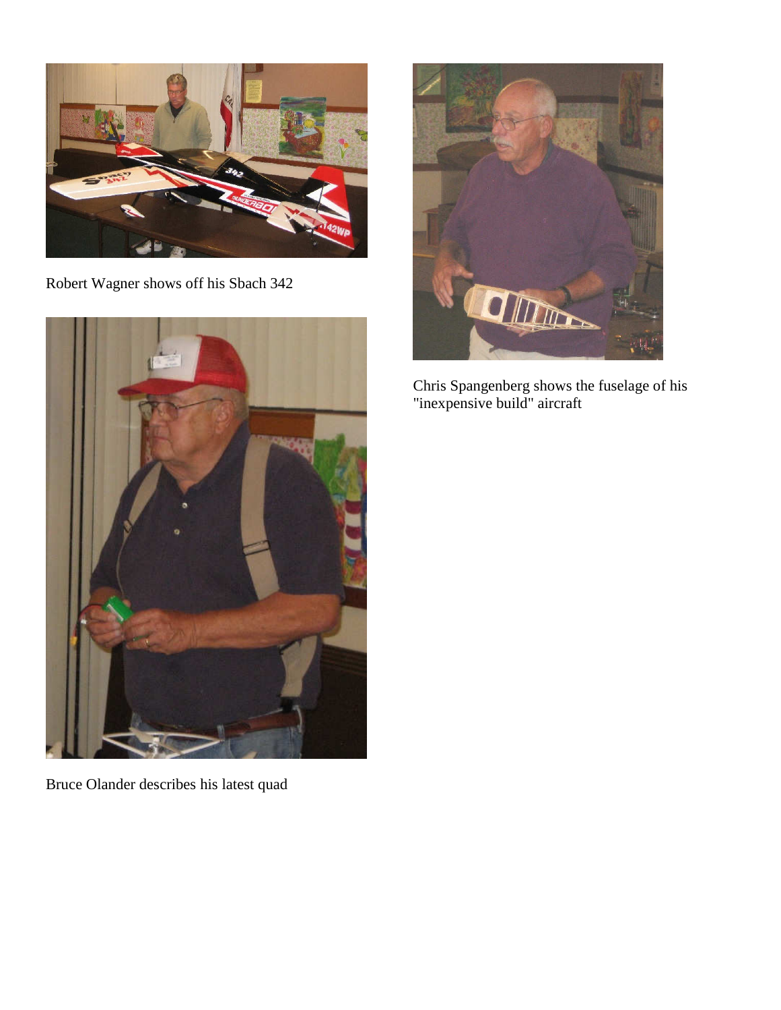

Robert Wagner shows off his Sbach 342



Bruce Olander describes his latest quad



Chris Spangenberg shows the fuselage of his "inexpensive build" aircraft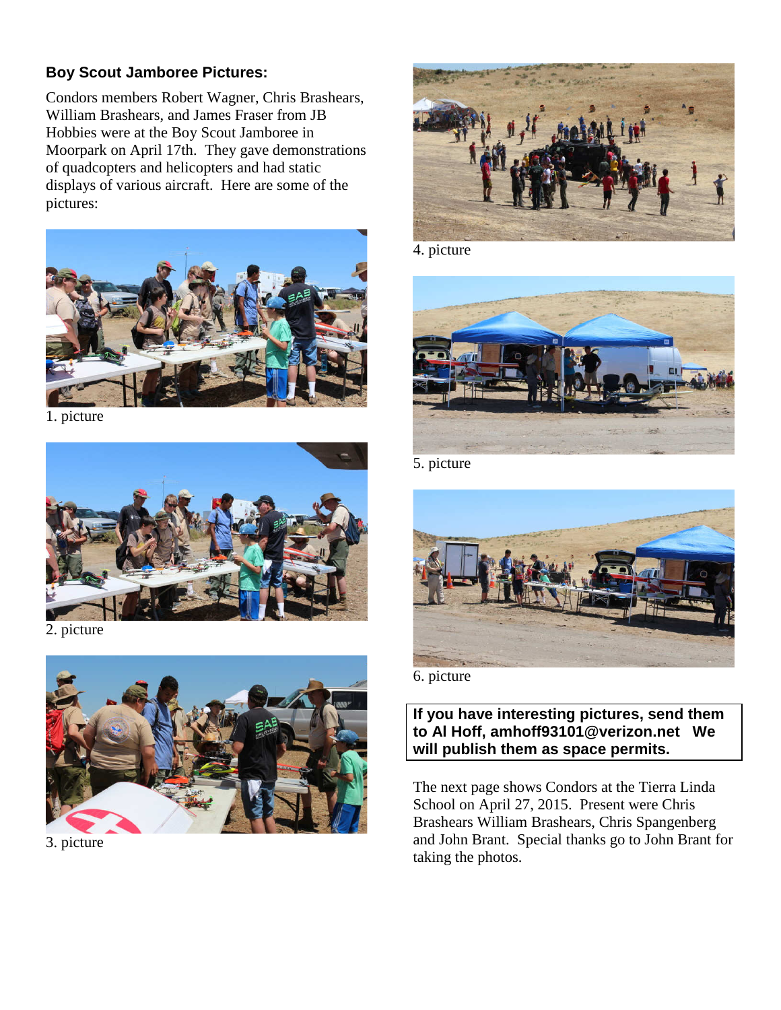## **Boy Scout Jamboree Pictures:**

Condors members Robert Wagner, Chris Brashears, William Brashears, and James Fraser from JB Hobbies were at the Boy Scout Jamboree in Moorpark on April 17th. They gave demonstrations of quadcopters and helicopters and had static displays of various aircraft. Here are some of the pictures:



1. picture



2. picture



3. picture



4. picture



5. picture



6. picture

### **If you have interesting pictures, send them to Al Hoff, amhoff93101@verizon.net We will publish them as space permits.**

The next page shows Condors at the Tierra Linda School on April 27, 2015. Present were Chris Brashears William Brashears, Chris Spangenberg and John Brant. Special thanks go to John Brant for taking the photos.